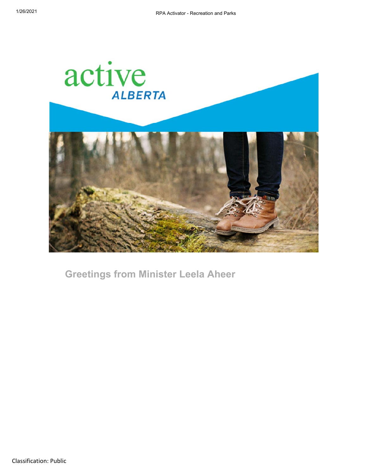

**Greetings from Minister Leela Aheer**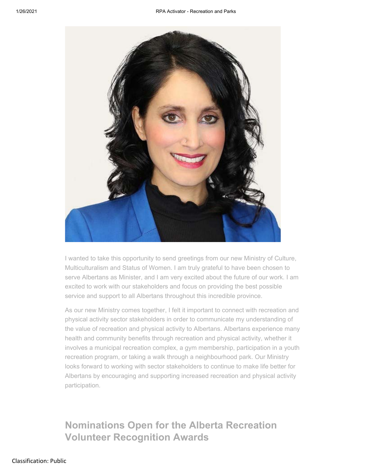

I wanted to take this opportunity to send greetings from our new Ministry of Culture, Multiculturalism and Status of Women. I am truly grateful to have been chosen to serve Albertans as Minister, and I am very excited about the future of our work. I am excited to work with our stakeholders and focus on providing the best possible service and support to all Albertans throughout this incredible province.

As our new Ministry comes together, I felt it important to connect with recreation and physical activity sector stakeholders in order to communicate my understanding of the value of recreation and physical activity to Albertans. Albertans experience many health and community benefits through recreation and physical activity, whether it involves a municipal recreation complex, a gym membership, participation in a youth recreation program, or taking a walk through a neighbourhood park. Our Ministry looks forward to working with sector stakeholders to continue to make life better for Albertans by encouraging and supporting increased recreation and physical activity participation.

# **Nominations Open for the Alberta Recreation Volunteer Recognition Awards**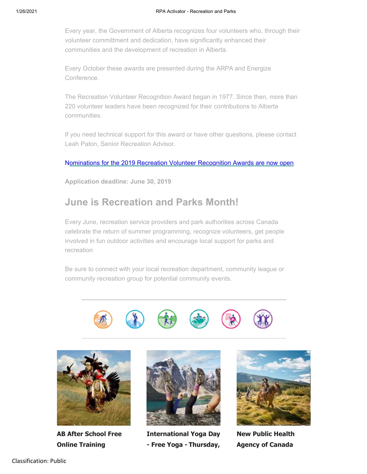Every year, the Government of Alberta recognizes four volunteers who, through their volunteer committment and dedication, have significantly enhanced their communities and the development of recreation in Alberta.

Every October these awards are presented during the ARPA and Energize Conference.

The Recreation Volunteer Recognition Award began in 1977. Since then, more than 220 volunteer leaders have been recognized for their contributions to Alberta communities.

If you need technical support for this award or have other questions, please contact Leah Paton, Senior Recreation Advisor.

Nominations for the 2019 Recreation Volunteer Recognition Awards are now open.

**Application deadline: June 30, 2019**

## **June is Recreation and Parks Month!**

Every June, recreation service providers and park authorities across Canada celebrate the return of summer programming, recognize volunteers, get people involved in fun outdoor activities and encourage local support for parks and recreation

Be sure to connect with your local recreation department, community league or community recreation group for potential community events.





**AB After School Free Online Training**



**International Yoga Day - Free Yoga - Thursday,**



**New Public Health Agency of Canada**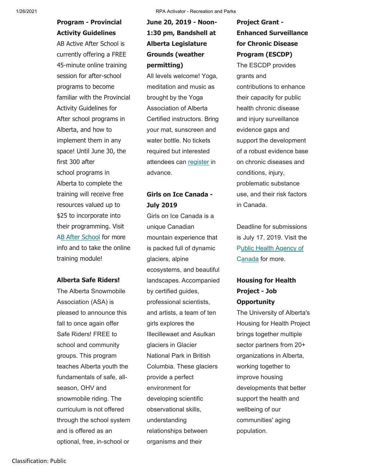## **Program - Provincial Activity Guidelines**

AB Active After School is currently offering a FREE 45-minute online training session for after-school programs to become familiar with the Provincial Activity Guidelines for After school programs in Alberta, and how to implement them in any space! Until June 30, the first 300 after school programs in Alberta to complete the training will receive free resources valued up to \$25 to incorporate into their programming. Visit AB After School for more info and to take the online training module!

#### **Alberta Safe Riders!**

The Alberta Snowmobile Association (ASA) is pleased to announce this fall to once again offer Safe Riders! FREE to school and community groups. This program teaches Alberta youth the fundamentals of safe, allseason, OHV and snowmobile riding. The curriculum is not offered through the school system and is offered as an optional, free, in-school or

## **June 20, 2019 - Noon-1:30 pm, Bandshell at Alberta Legislature Grounds (weather permitting)**

All levels welcome! Yoga, meditation and music as brought by the Yoga Association of Alberta Certified instructors. Bring your mat, sunscreen and water bottle. No tickets required but interested attendees can register in advance.

### **Girls on Ice Canada - July 2019**

Girls on Ice Canada is a unique Canadian mountain experience that is packed full of dynamic glaciers, alpine ecosystems, and beautiful landscapes. Accompanied by certified guides, professional scientists, and artists, a team of ten girls explores the Illecillewaet and Asulkan glaciers in Glacier National Park in British Columbia. These glaciers provide a perfect environment for developing scientific observational skills, understanding relationships between organisms and their

#### **Project Grant - Enhanced Surveillance for Chronic Disease Program (ESCDP)**

The ESCDP provides grants and contributions to enhance their capacity for public health chronic disease and injury surveillance evidence gaps and support the development of a robust evidence base on chronic diseases and conditions, injury, problematic substance use, and their risk factors in Canada.

Deadline for submissions is July 17, 2019. Visit the Public Health Agency of Canada for more.

### **Housing for Health Project - Job Opportunity**

The University of Alberta's Housing for Health Project brings together multiple sector partners from 20+ organizations in Alberta, working together to improve housing developments that better support the health and wellbeing of our communities' aging population.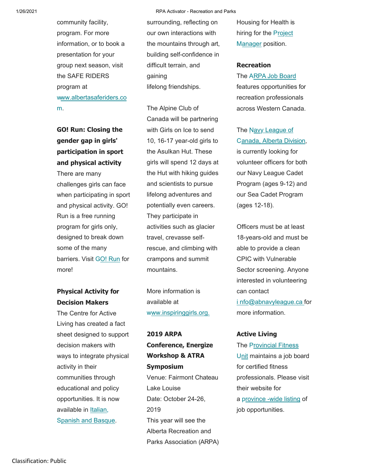community facility, program. For more information, or to book a presentation for your group next season, visit the SAFE RIDERS program at www.albertasaferiders.co m.

# **gender gap in girls' participation in sport and physical activity**

There are many challenges girls can face when participating in sport and physical activity. GO! Run is a free running program for girls only, designed to break down some of the many barriers. Visit GO! Run for more!

#### **Physical Activity for Decision Makers**

The Centre for Active Living has created a fact sheet designed to support decision makers with ways to integrate physical activity in their communities through educational and policy opportunities. It is now available in Italian, Spanish and Basque.

surrounding, reflecting on our own interactions with the mountains through art, building self-confidence in difficult terrain, and gaining lifelong friendships.

The Alpine Club of Canada will be partnering **GO! Run: Closing the** with Girls on Ice to send The Navy League of 10, 16-17 year-old girls to the Asulkan Hut. These girls will spend 12 days at the Hut with hiking guides and scientists to pursue lifelong adventures and potentially even careers. They participate in activities such as glacier travel, crevasse selfrescue, and climbing with crampons and summit mountains.

> More information is available at www.inspiringgirls.org.

**2019 ARPA Conference, Energize Workshop & ATRA Symposium** Venue: Fairmont Chateau Lake Louise Date: October 24-26, 2019 This year will see the Alberta Recreation and Parks Association (ARPA) Housing for Health is hiring for the Project Manager position.

#### **Recreation**

The ARPA Job Board features opportunities for recreation professionals across Western Canada.

C anada, Alberta Division, is currently looking for volunteer officers for both our Navy League Cadet Program (ages 9-12) and our Sea Cadet Program (ages 12-18).

Officers must be at least 18-years-old and must be able to provide a clean CPIC with Vulnerable Sector screening. Anyone interested in volunteering can contact i nfo@abnavyleague.ca for more information.

#### **Active Living**

The Provincial Fitness Unit maintains a job board for certified fitness professionals. Please visit their website for a province -wide listing of job opportunities.